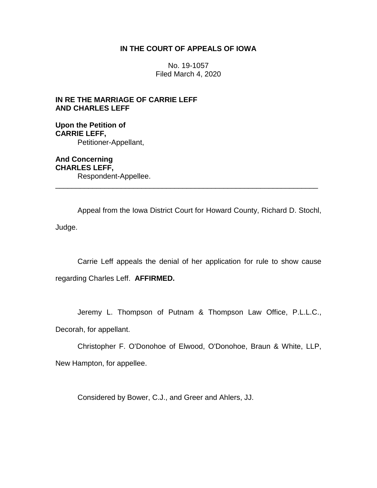## **IN THE COURT OF APPEALS OF IOWA**

No. 19-1057 Filed March 4, 2020

## **IN RE THE MARRIAGE OF CARRIE LEFF AND CHARLES LEFF**

**Upon the Petition of CARRIE LEFF,** Petitioner-Appellant,

**And Concerning CHARLES LEFF,** Respondent-Appellee. \_\_\_\_\_\_\_\_\_\_\_\_\_\_\_\_\_\_\_\_\_\_\_\_\_\_\_\_\_\_\_\_\_\_\_\_\_\_\_\_\_\_\_\_\_\_\_\_\_\_\_\_\_\_\_\_\_\_\_\_\_\_\_\_

Appeal from the Iowa District Court for Howard County, Richard D. Stochl, Judge.

Carrie Leff appeals the denial of her application for rule to show cause regarding Charles Leff. **AFFIRMED.**

Jeremy L. Thompson of Putnam & Thompson Law Office, P.L.L.C.,

Decorah, for appellant.

Christopher F. O'Donohoe of Elwood, O'Donohoe, Braun & White, LLP,

New Hampton, for appellee.

Considered by Bower, C.J., and Greer and Ahlers, JJ.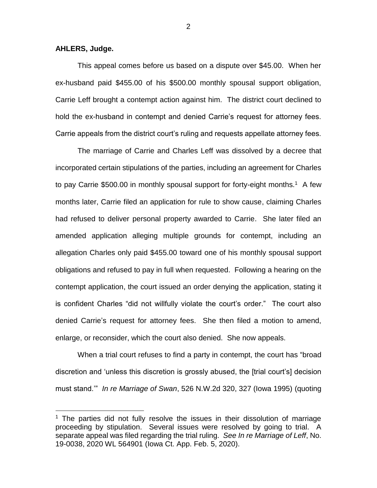## **AHLERS, Judge.**

 $\overline{a}$ 

This appeal comes before us based on a dispute over \$45.00. When her ex-husband paid \$455.00 of his \$500.00 monthly spousal support obligation, Carrie Leff brought a contempt action against him. The district court declined to hold the ex-husband in contempt and denied Carrie's request for attorney fees. Carrie appeals from the district court's ruling and requests appellate attorney fees.

The marriage of Carrie and Charles Leff was dissolved by a decree that incorporated certain stipulations of the parties, including an agreement for Charles to pay Carrie \$500.00 in monthly spousal support for forty-eight months.<sup>1</sup> A few months later, Carrie filed an application for rule to show cause, claiming Charles had refused to deliver personal property awarded to Carrie. She later filed an amended application alleging multiple grounds for contempt, including an allegation Charles only paid \$455.00 toward one of his monthly spousal support obligations and refused to pay in full when requested. Following a hearing on the contempt application, the court issued an order denying the application, stating it is confident Charles "did not willfully violate the court's order." The court also denied Carrie's request for attorney fees. She then filed a motion to amend, enlarge, or reconsider, which the court also denied. She now appeals.

When a trial court refuses to find a party in contempt, the court has "broad discretion and 'unless this discretion is grossly abused, the [trial court's] decision must stand.'" *In re Marriage of Swan*, 526 N.W.2d 320, 327 (Iowa 1995) (quoting

2

 $1$  The parties did not fully resolve the issues in their dissolution of marriage proceeding by stipulation. Several issues were resolved by going to trial. A separate appeal was filed regarding the trial ruling. *See In re Marriage of Leff*, No. 19-0038, 2020 WL 564901 (Iowa Ct. App. Feb. 5, 2020).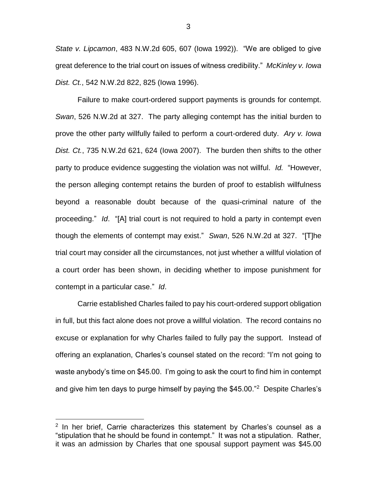*State v. Lipcamon*, 483 N.W.2d 605, 607 (Iowa 1992)). "We are obliged to give great deference to the trial court on issues of witness credibility." *McKinley v. Iowa Dist. Ct.*, 542 N.W.2d 822, 825 (Iowa 1996).

Failure to make court-ordered support payments is grounds for contempt. *Swan*, 526 N.W.2d at 327. The party alleging contempt has the initial burden to prove the other party willfully failed to perform a court-ordered duty. *Ary v. Iowa Dist. Ct.*, 735 N.W.2d 621, 624 (Iowa 2007). The burden then shifts to the other party to produce evidence suggesting the violation was not willful. *Id.* "However, the person alleging contempt retains the burden of proof to establish willfulness beyond a reasonable doubt because of the quasi-criminal nature of the proceeding." *Id*. "[A] trial court is not required to hold a party in contempt even though the elements of contempt may exist." *Swan*, 526 N.W.2d at 327. "[T]he trial court may consider all the circumstances, not just whether a willful violation of a court order has been shown, in deciding whether to impose punishment for contempt in a particular case." *Id*.

Carrie established Charles failed to pay his court-ordered support obligation in full, but this fact alone does not prove a willful violation. The record contains no excuse or explanation for why Charles failed to fully pay the support. Instead of offering an explanation, Charles's counsel stated on the record: "I'm not going to waste anybody's time on \$45.00. I'm going to ask the court to find him in contempt and give him ten days to purge himself by paying the \$45.00."<sup>2</sup> Despite Charles's

 $\overline{a}$ 

3

<sup>&</sup>lt;sup>2</sup> In her brief, Carrie characterizes this statement by Charles's counsel as a "stipulation that he should be found in contempt." It was not a stipulation. Rather, it was an admission by Charles that one spousal support payment was \$45.00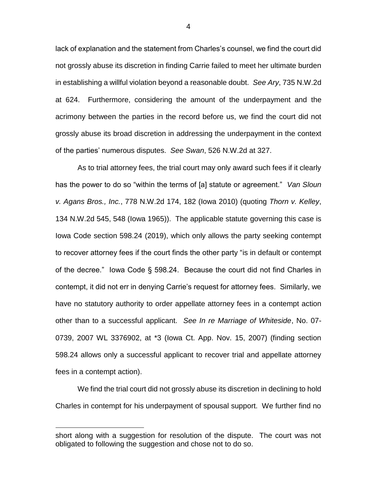lack of explanation and the statement from Charles's counsel, we find the court did not grossly abuse its discretion in finding Carrie failed to meet her ultimate burden in establishing a willful violation beyond a reasonable doubt. *See Ary*, 735 N.W.2d at 624. Furthermore, considering the amount of the underpayment and the acrimony between the parties in the record before us, we find the court did not grossly abuse its broad discretion in addressing the underpayment in the context of the parties' numerous disputes. *See Swan*, 526 N.W.2d at 327.

As to trial attorney fees, the trial court may only award such fees if it clearly has the power to do so "within the terms of [a] statute or agreement." *Van Sloun v. Agans Bros., Inc.*, 778 N.W.2d 174, 182 (Iowa 2010) (quoting *Thorn v. Kelley*, 134 N.W.2d 545, 548 (Iowa 1965)). The applicable statute governing this case is Iowa Code section 598.24 (2019), which only allows the party seeking contempt to recover attorney fees if the court finds the other party "is in default or contempt of the decree." Iowa Code § 598.24. Because the court did not find Charles in contempt, it did not err in denying Carrie's request for attorney fees. Similarly, we have no statutory authority to order appellate attorney fees in a contempt action other than to a successful applicant. *See In re Marriage of Whiteside*, No. 07- 0739, 2007 WL 3376902, at \*3 (Iowa Ct. App. Nov. 15, 2007) (finding section 598.24 allows only a successful applicant to recover trial and appellate attorney fees in a contempt action).

We find the trial court did not grossly abuse its discretion in declining to hold Charles in contempt for his underpayment of spousal support. We further find no

 $\overline{a}$ 

4

short along with a suggestion for resolution of the dispute. The court was not obligated to following the suggestion and chose not to do so.